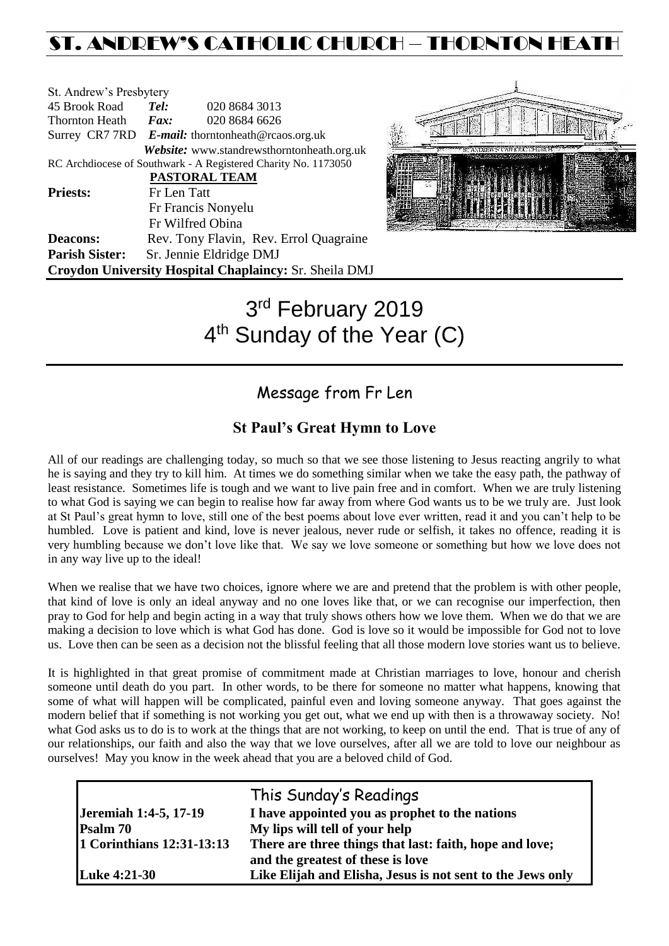# ST. ANDREW'S CATHOLIC CHURCH – THORNTON HEATH

| St. Andrew's Presbytery |             |                                                                |
|-------------------------|-------------|----------------------------------------------------------------|
| 45 Brook Road           | Tel:        | 020 8684 3013                                                  |
| Thornton Heath          | Fax:        | 020 8684 6626                                                  |
|                         |             | Surrey CR7 7RD E-mail: thorntonheath@rcaos.org.uk              |
|                         |             | Website: www.standrewsthorntonheath.org.uk                     |
|                         |             | RC Archdiocese of Southwark - A Registered Charity No. 1173050 |
|                         |             | <b>PASTORAL TEAM</b>                                           |
| <b>Priests:</b>         | Fr Len Tatt |                                                                |
|                         |             | Fr Francis Nonyelu                                             |
|                         |             | Fr Wilfred Obina                                               |
| <b>Deacons:</b>         |             | Rev. Tony Flavin, Rev. Errol Quagraine                         |
| <b>Parish Sister:</b>   |             | Sr. Jennie Eldridge DMJ                                        |
|                         |             | Croydon University Hospital Chaplaincy: Sr. Sheila DMJ         |



# 3 rd February 2019 4<sup>th</sup> Sunday of the Year (C)

### Message from Fr Len

### **St Paul's Great Hymn to Love**

All of our readings are challenging today, so much so that we see those listening to Jesus reacting angrily to what he is saying and they try to kill him. At times we do something similar when we take the easy path, the pathway of least resistance. Sometimes life is tough and we want to live pain free and in comfort. When we are truly listening to what God is saying we can begin to realise how far away from where God wants us to be we truly are. Just look at St Paul's great hymn to love, still one of the best poems about love ever written, read it and you can't help to be humbled. Love is patient and kind, love is never jealous, never rude or selfish, it takes no offence, reading it is very humbling because we don't love like that. We say we love someone or something but how we love does not in any way live up to the ideal!

When we realise that we have two choices, ignore where we are and pretend that the problem is with other people, that kind of love is only an ideal anyway and no one loves like that, or we can recognise our imperfection, then pray to God for help and begin acting in a way that truly shows others how we love them. When we do that we are making a decision to love which is what God has done. God is love so it would be impossible for God not to love us. Love then can be seen as a decision not the blissful feeling that all those modern love stories want us to believe.

It is highlighted in that great promise of commitment made at Christian marriages to love, honour and cherish someone until death do you part. In other words, to be there for someone no matter what happens, knowing that some of what will happen will be complicated, painful even and loving someone anyway. That goes against the modern belief that if something is not working you get out, what we end up with then is a throwaway society. No! what God asks us to do is to work at the things that are not working, to keep on until the end. That is true of any of our relationships, our faith and also the way that we love ourselves, after all we are told to love our neighbour as ourselves! May you know in the week ahead that you are a beloved child of God.

|                           | This Sunday's Readings                                     |
|---------------------------|------------------------------------------------------------|
| Jeremiah 1:4-5, 17-19     | I have appointed you as prophet to the nations             |
| <b>Psalm 70</b>           | My lips will tell of your help                             |
| 1 Corinthians 12:31-13:13 | There are three things that last: faith, hope and love;    |
|                           | and the greatest of these is love                          |
| Luke 4:21-30              | Like Elijah and Elisha, Jesus is not sent to the Jews only |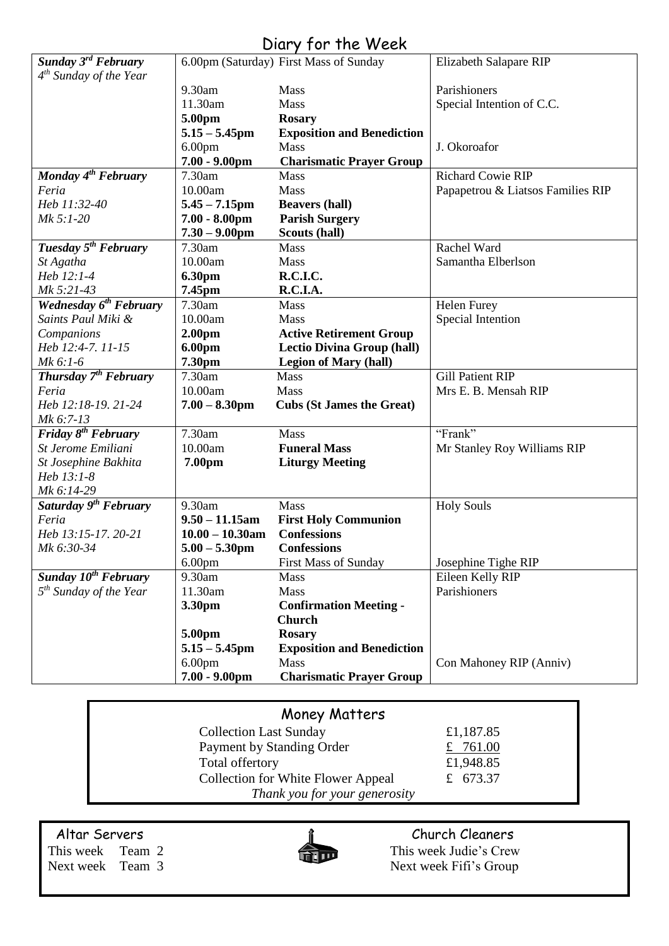| Sunday 3 <sup>rd</sup> February    | $UUUY + UUY + UUUUY$                   | 6.00pm (Saturday) First Mass of Sunday  | Elizabeth Salapare RIP            |
|------------------------------------|----------------------------------------|-----------------------------------------|-----------------------------------|
| $4th$ Sunday of the Year           |                                        |                                         |                                   |
|                                    | 9.30am                                 | Mass                                    | Parishioners                      |
|                                    | 11.30am                                | Mass                                    | Special Intention of C.C.         |
|                                    | 5.00pm                                 | <b>Rosary</b>                           |                                   |
|                                    | $5.15 - 5.45$ pm                       | <b>Exposition and Benediction</b>       |                                   |
|                                    | 6.00 <sub>pm</sub>                     | Mass                                    | J. Okoroafor                      |
|                                    | $7.00 - 9.00$ pm                       | <b>Charismatic Prayer Group</b>         |                                   |
| Monday $4^{th}$ February           | 7.30am                                 | Mass                                    | <b>Richard Cowie RIP</b>          |
| Feria                              | 10.00am                                | Mass                                    | Papapetrou & Liatsos Families RIP |
| Heb 11:32-40                       | $5.45 - 7.15$ pm                       | <b>Beavers (hall)</b>                   |                                   |
| Mk 5:1-20                          | $7.00 - 8.00$ pm                       | <b>Parish Surgery</b>                   |                                   |
|                                    | $7.30 - 9.00$ pm                       | Scouts (hall)                           |                                   |
| Tuesday 5 <sup>th</sup> February   | 7.30am                                 | Mass                                    | Rachel Ward                       |
| St Agatha                          | 10.00am                                | Mass                                    | Samantha Elberlson                |
| Heb 12:1-4                         | 6.30pm                                 | <b>R.C.I.C.</b>                         |                                   |
| Mk 5:21-43                         | 7.45pm                                 | R.C.I.A.                                |                                   |
| Wednesday 6 <sup>th</sup> February | 7.30am                                 | Mass                                    | <b>Helen Furey</b>                |
| Saints Paul Miki &                 | 10.00am                                | Mass                                    | Special Intention                 |
| Companions                         | 2.00 <sub>pm</sub>                     | <b>Active Retirement Group</b>          |                                   |
| Heb 12:4-7. 11-15                  | 6.00pm                                 | <b>Lectio Divina Group (hall)</b>       |                                   |
| $Mk$ 6:1-6                         | 7.30pm                                 | <b>Legion of Mary (hall)</b>            |                                   |
| Thursday 7 <sup>th</sup> February  | 7.30am                                 | <b>Mass</b>                             | <b>Gill Patient RIP</b>           |
|                                    |                                        |                                         |                                   |
| Feria                              | 10.00am                                | <b>Mass</b>                             | Mrs E. B. Mensah RIP              |
| Heb 12:18-19. 21-24                | $7.00 - 8.30$ pm                       | <b>Cubs (St James the Great)</b>        |                                   |
| Mk 6:7-13                          |                                        |                                         |                                   |
| Friday $8^{th}$ February           | 7.30am                                 | Mass                                    | "Frank"                           |
| St Jerome Emiliani                 | 10.00am                                | <b>Funeral Mass</b>                     | Mr Stanley Roy Williams RIP       |
| St Josephine Bakhita               | 7.00pm                                 | <b>Liturgy Meeting</b>                  |                                   |
| Heb 13:1-8                         |                                        |                                         |                                   |
| Mk 6:14-29                         |                                        |                                         |                                   |
| Saturday 9 <sup>th</sup> February  | 9.30am                                 | Mass                                    | <b>Holy Souls</b>                 |
| Feria                              | $9.50 - 11.15$ am                      | <b>First Holy Communion</b>             |                                   |
| Heb 13:15-17. 20-21                | $10.00 - 10.30$ am                     | <b>Confessions</b>                      |                                   |
|                                    |                                        | <b>Confessions</b>                      |                                   |
| Mk 6:30-34                         | $5.00 - 5.30$ pm                       |                                         |                                   |
|                                    | 6.00 <sub>pm</sub>                     | <b>First Mass of Sunday</b>             | Josephine Tighe RIP               |
| Sunday 10 <sup>th</sup> February   | 9.30am                                 | Mass                                    | Eileen Kelly RIP                  |
| $5th$ Sunday of the Year           | 11.30am                                | Mass                                    | Parishioners                      |
|                                    | 3.30pm                                 | <b>Confirmation Meeting -</b>           |                                   |
|                                    |                                        | <b>Church</b>                           |                                   |
|                                    | 5.00pm                                 | <b>Rosary</b>                           |                                   |
|                                    | $5.15 - 5.45$ pm                       | <b>Exposition and Benediction</b>       |                                   |
|                                    | 6.00 <sub>pm</sub><br>$7.00 - 9.00$ pm | Mass<br><b>Charismatic Prayer Group</b> | Con Mahoney RIP (Anniv)           |

# Diary for the Week

## Money Matters

| <b>Collection Last Sunday</b>             | £1,187.85 |
|-------------------------------------------|-----------|
| Payment by Standing Order                 | £ 761.00  |
| Total offertory                           | £1,948.85 |
| <b>Collection for White Flower Appeal</b> | £ 673.37  |
| Thank you for your generosity             |           |



Altar Servers **Church Cleaners Church Cleaners** This week Team 2 This week Judie's Crew Next week Team 3 Next week Fifi's Group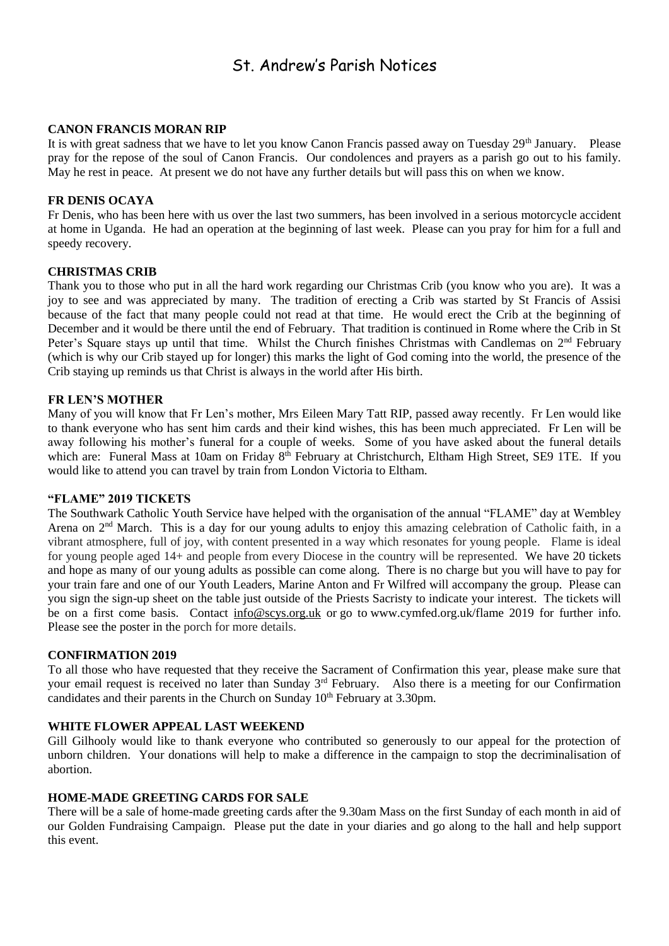### St. Andrew's Parish Notices

#### **CANON FRANCIS MORAN RIP**

It is with great sadness that we have to let you know Canon Francis passed away on Tuesday 29<sup>th</sup> January. Please pray for the repose of the soul of Canon Francis. Our condolences and prayers as a parish go out to his family. May he rest in peace. At present we do not have any further details but will pass this on when we know.

#### **FR DENIS OCAYA**

Fr Denis, who has been here with us over the last two summers, has been involved in a serious motorcycle accident at home in Uganda. He had an operation at the beginning of last week. Please can you pray for him for a full and speedy recovery.

#### **CHRISTMAS CRIB**

Thank you to those who put in all the hard work regarding our Christmas Crib (you know who you are). It was a joy to see and was appreciated by many. The tradition of erecting a Crib was started by St Francis of Assisi because of the fact that many people could not read at that time. He would erect the Crib at the beginning of December and it would be there until the end of February. That tradition is continued in Rome where the Crib in St Peter's Square stays up until that time. Whilst the Church finishes Christmas with Candlemas on  $2<sup>nd</sup>$  February (which is why our Crib stayed up for longer) this marks the light of God coming into the world, the presence of the Crib staying up reminds us that Christ is always in the world after His birth.

#### **FR LEN'S MOTHER**

Many of you will know that Fr Len's mother, Mrs Eileen Mary Tatt RIP, passed away recently. Fr Len would like to thank everyone who has sent him cards and their kind wishes, this has been much appreciated. Fr Len will be away following his mother's funeral for a couple of weeks. Some of you have asked about the funeral details which are: Funeral Mass at 10am on Friday 8<sup>th</sup> February at Christchurch, Eltham High Street, SE9 1TE. If you would like to attend you can travel by train from London Victoria to Eltham.

#### **"FLAME" 2019 TICKETS**

The Southwark Catholic Youth Service have helped with the organisation of the annual "FLAME" day at Wembley Arena on 2<sup>nd</sup> March. This is a day for our young adults to enjoy this amazing celebration of Catholic faith, in a vibrant atmosphere, full of joy, with content presented in a way which resonates for young people. Flame is ideal for young people aged 14+ and people from every Diocese in the country will be represented. We have 20 tickets and hope as many of our young adults as possible can come along. There is no charge but you will have to pay for your train fare and one of our Youth Leaders, Marine Anton and Fr Wilfred will accompany the group. Please can you sign the sign-up sheet on the table just outside of the Priests Sacristy to indicate your interest. The tickets will be on a first come basis. Contact [info@scys.org.uk](mailto:info@scys.org.uk?subject=FLAME%202019) or go to [www.cymfed.org.uk/flame 2019](https://rcsouthwark.us11.list-manage.com/track/click?u=a40ab1a35eac7236d856fe882&id=3967eeb619&e=8fd233ba89) for further info. Please see the poster in the porch for more details.

#### **CONFIRMATION 2019**

To all those who have requested that they receive the Sacrament of Confirmation this year, please make sure that your email request is received no later than Sunday 3<sup>rd</sup> February. Also there is a meeting for our Confirmation candidates and their parents in the Church on Sunday 10<sup>th</sup> February at 3.30pm.

#### **WHITE FLOWER APPEAL LAST WEEKEND**

Gill Gilhooly would like to thank everyone who contributed so generously to our appeal for the protection of unborn children. Your donations will help to make a difference in the campaign to stop the decriminalisation of abortion.

#### **HOME-MADE GREETING CARDS FOR SALE**

There will be a sale of home-made greeting cards after the 9.30am Mass on the first Sunday of each month in aid of our Golden Fundraising Campaign. Please put the date in your diaries and go along to the hall and help support this event.